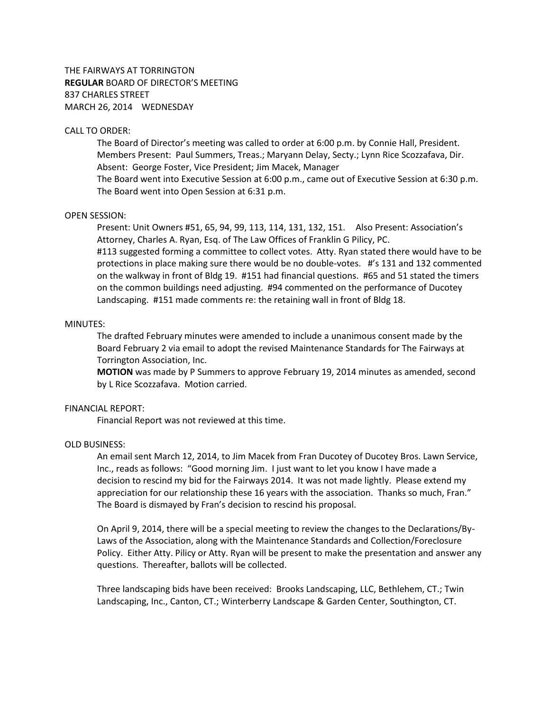THE FAIRWAYS AT TORRINGTON **REGULAR** BOARD OF DIRECTOR'S MEETING 837 CHARLES STREET MARCH 26, 2014 WEDNESDAY

## CALL TO ORDER:

The Board of Director's meeting was called to order at 6:00 p.m. by Connie Hall, President. Members Present: Paul Summers, Treas.; Maryann Delay, Secty.; Lynn Rice Scozzafava, Dir. Absent: George Foster, Vice President; Jim Macek, Manager

The Board went into Executive Session at 6:00 p.m., came out of Executive Session at 6:30 p.m. The Board went into Open Session at 6:31 p.m.

#### OPEN SESSION:

Present: Unit Owners #51, 65, 94, 99, 113, 114, 131, 132, 151. Also Present: Association's Attorney, Charles A. Ryan, Esq. of The Law Offices of Franklin G Pilicy, PC. #113 suggested forming a committee to collect votes. Atty. Ryan stated there would have to be

protections in place making sure there would be no double-votes. #'s 131 and 132 commented on the walkway in front of Bldg 19. #151 had financial questions. #65 and 51 stated the timers on the common buildings need adjusting. #94 commented on the performance of Ducotey Landscaping. #151 made comments re: the retaining wall in front of Bldg 18.

#### MINUTES:

The drafted February minutes were amended to include a unanimous consent made by the Board February 2 via email to adopt the revised Maintenance Standards for The Fairways at Torrington Association, Inc.

**MOTION** was made by P Summers to approve February 19, 2014 minutes as amended, second by L Rice Scozzafava. Motion carried.

## FINANCIAL REPORT:

Financial Report was not reviewed at this time.

### OLD BUSINESS:

An email sent March 12, 2014, to Jim Macek from Fran Ducotey of Ducotey Bros. Lawn Service, Inc., reads as follows: "Good morning Jim. I just want to let you know I have made a decision to rescind my bid for the Fairways 2014. It was not made lightly. Please extend my appreciation for our relationship these 16 years with the association. Thanks so much, Fran." The Board is dismayed by Fran's decision to rescind his proposal.

On April 9, 2014, there will be a special meeting to review the changes to the Declarations/By-Laws of the Association, along with the Maintenance Standards and Collection/Foreclosure Policy. Either Atty. Pilicy or Atty. Ryan will be present to make the presentation and answer any questions. Thereafter, ballots will be collected.

Three landscaping bids have been received: Brooks Landscaping, LLC, Bethlehem, CT.; Twin Landscaping, Inc., Canton, CT.; Winterberry Landscape & Garden Center, Southington, CT.